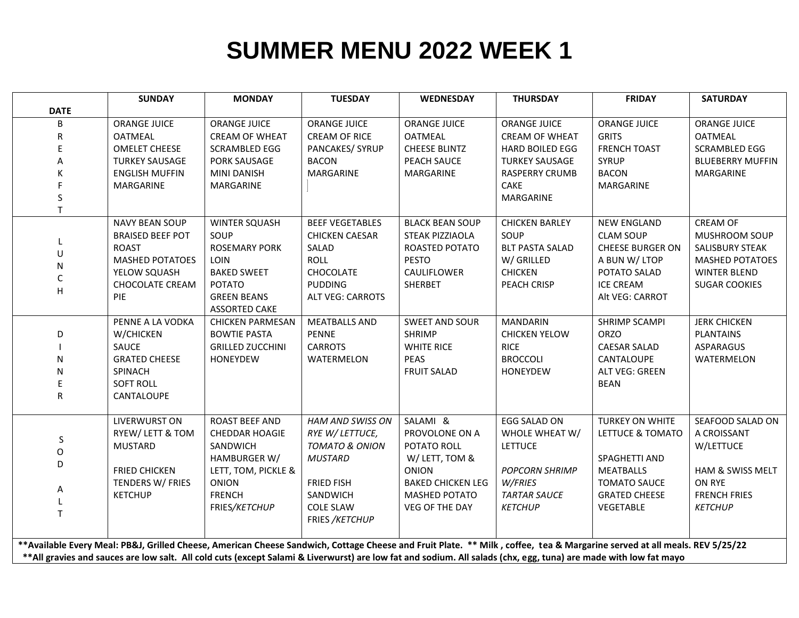## **SUMMER MENU 2022 WEEK 1**

| <b>DATE</b><br><b>ORANGE JUICE</b><br><b>ORANGE JUICE</b><br><b>ORANGE JUICE</b><br><b>ORANGE JUICE</b><br><b>ORANGE JUICE</b><br><b>ORANGE JUICE</b><br>ORANGE JUICE<br>B<br><b>OATMEAL</b><br><b>OATMEAL</b><br><b>OATMEAL</b><br><b>CREAM OF WHEAT</b><br><b>CREAM OF RICE</b><br><b>CREAM OF WHEAT</b><br><b>GRITS</b><br>R<br><b>OMELET CHEESE</b><br><b>CHEESE BLINTZ</b><br><b>FRENCH TOAST</b><br><b>SCRAMBLED EGG</b><br><b>SCRAMBLED EGG</b><br>PANCAKES/ SYRUP<br><b>HARD BOILED EGG</b><br>F<br><b>BACON</b><br><b>TURKEY SAUSAGE</b><br>PORK SAUSAGE<br>PEACH SAUCE<br><b>TURKEY SAUSAGE</b><br><b>SYRUP</b><br><b>BLUEBERRY MUFFIN</b><br>А<br>MARGARINE<br><b>BACON</b><br><b>ENGLISH MUFFIN</b><br><b>MINI DANISH</b><br>MARGARINE<br>RASPERRY CRUMB<br>MARGARINE<br>CAKE<br>MARGARINE<br>MARGARINE<br>MARGARINE<br>S<br>MARGARINE<br>T.<br><b>NAVY BEAN SOUP</b><br><b>BEEF VEGETABLES</b><br><b>BLACK BEAN SOUP</b><br><b>CREAM OF</b><br><b>WINTER SQUASH</b><br><b>CHICKEN BARLEY</b><br><b>NEW ENGLAND</b><br>SOUP<br>SOUP<br><b>BRAISED BEEF POT</b><br><b>CHICKEN CAESAR</b><br>STEAK PIZZIAOLA<br><b>CLAM SOUP</b><br>MUSHROOM SOUP<br><b>ROAST</b><br><b>ROSEMARY PORK</b><br><b>BLT PASTA SALAD</b><br><b>CHEESE BURGER ON</b><br>SALAD<br>ROASTED POTATO<br><b>SALISBURY STEAK</b><br>$\mathbf{U}$<br><b>MASHED POTATOES</b><br>LOIN<br><b>PESTO</b><br>W/ GRILLED<br><b>ROLL</b><br>A BUN W/ LTOP<br><b>MASHED POTATOES</b><br>N<br><b>BAKED SWEET</b><br>CHOCOLATE<br>CAULIFLOWER<br><b>CHICKEN</b><br>POTATO SALAD<br>YELOW SQUASH<br><b>WINTER BLEND</b><br>C<br>CHOCOLATE CREAM<br><b>POTATO</b><br><b>PUDDING</b><br>PEACH CRISP<br><b>ICE CREAM</b><br>SHERBET<br><b>SUGAR COOKIES</b><br>Н<br>PIE<br><b>GREEN BEANS</b><br><b>ALT VEG: CARROTS</b><br>Alt VEG: CARROT<br><b>ASSORTED CAKE</b><br>PENNE A LA VODKA<br><b>MEATBALLS AND</b><br><b>SWEET AND SOUR</b><br><b>MANDARIN</b><br><b>SHRIMP SCAMPI</b><br><b>JERK CHICKEN</b><br><b>CHICKEN PARMESAN</b> | <b>SATURDAY</b> |  |  |  |  |  |  |  |  |  |
|----------------------------------------------------------------------------------------------------------------------------------------------------------------------------------------------------------------------------------------------------------------------------------------------------------------------------------------------------------------------------------------------------------------------------------------------------------------------------------------------------------------------------------------------------------------------------------------------------------------------------------------------------------------------------------------------------------------------------------------------------------------------------------------------------------------------------------------------------------------------------------------------------------------------------------------------------------------------------------------------------------------------------------------------------------------------------------------------------------------------------------------------------------------------------------------------------------------------------------------------------------------------------------------------------------------------------------------------------------------------------------------------------------------------------------------------------------------------------------------------------------------------------------------------------------------------------------------------------------------------------------------------------------------------------------------------------------------------------------------------------------------------------------------------------------------------------------------------------------------------------------------------------------------------------------------------------------------------------------------------------|-----------------|--|--|--|--|--|--|--|--|--|
|                                                                                                                                                                                                                                                                                                                                                                                                                                                                                                                                                                                                                                                                                                                                                                                                                                                                                                                                                                                                                                                                                                                                                                                                                                                                                                                                                                                                                                                                                                                                                                                                                                                                                                                                                                                                                                                                                                                                                                                                    |                 |  |  |  |  |  |  |  |  |  |
|                                                                                                                                                                                                                                                                                                                                                                                                                                                                                                                                                                                                                                                                                                                                                                                                                                                                                                                                                                                                                                                                                                                                                                                                                                                                                                                                                                                                                                                                                                                                                                                                                                                                                                                                                                                                                                                                                                                                                                                                    |                 |  |  |  |  |  |  |  |  |  |
|                                                                                                                                                                                                                                                                                                                                                                                                                                                                                                                                                                                                                                                                                                                                                                                                                                                                                                                                                                                                                                                                                                                                                                                                                                                                                                                                                                                                                                                                                                                                                                                                                                                                                                                                                                                                                                                                                                                                                                                                    |                 |  |  |  |  |  |  |  |  |  |
|                                                                                                                                                                                                                                                                                                                                                                                                                                                                                                                                                                                                                                                                                                                                                                                                                                                                                                                                                                                                                                                                                                                                                                                                                                                                                                                                                                                                                                                                                                                                                                                                                                                                                                                                                                                                                                                                                                                                                                                                    |                 |  |  |  |  |  |  |  |  |  |
|                                                                                                                                                                                                                                                                                                                                                                                                                                                                                                                                                                                                                                                                                                                                                                                                                                                                                                                                                                                                                                                                                                                                                                                                                                                                                                                                                                                                                                                                                                                                                                                                                                                                                                                                                                                                                                                                                                                                                                                                    |                 |  |  |  |  |  |  |  |  |  |
|                                                                                                                                                                                                                                                                                                                                                                                                                                                                                                                                                                                                                                                                                                                                                                                                                                                                                                                                                                                                                                                                                                                                                                                                                                                                                                                                                                                                                                                                                                                                                                                                                                                                                                                                                                                                                                                                                                                                                                                                    |                 |  |  |  |  |  |  |  |  |  |
|                                                                                                                                                                                                                                                                                                                                                                                                                                                                                                                                                                                                                                                                                                                                                                                                                                                                                                                                                                                                                                                                                                                                                                                                                                                                                                                                                                                                                                                                                                                                                                                                                                                                                                                                                                                                                                                                                                                                                                                                    |                 |  |  |  |  |  |  |  |  |  |
|                                                                                                                                                                                                                                                                                                                                                                                                                                                                                                                                                                                                                                                                                                                                                                                                                                                                                                                                                                                                                                                                                                                                                                                                                                                                                                                                                                                                                                                                                                                                                                                                                                                                                                                                                                                                                                                                                                                                                                                                    |                 |  |  |  |  |  |  |  |  |  |
|                                                                                                                                                                                                                                                                                                                                                                                                                                                                                                                                                                                                                                                                                                                                                                                                                                                                                                                                                                                                                                                                                                                                                                                                                                                                                                                                                                                                                                                                                                                                                                                                                                                                                                                                                                                                                                                                                                                                                                                                    |                 |  |  |  |  |  |  |  |  |  |
|                                                                                                                                                                                                                                                                                                                                                                                                                                                                                                                                                                                                                                                                                                                                                                                                                                                                                                                                                                                                                                                                                                                                                                                                                                                                                                                                                                                                                                                                                                                                                                                                                                                                                                                                                                                                                                                                                                                                                                                                    |                 |  |  |  |  |  |  |  |  |  |
|                                                                                                                                                                                                                                                                                                                                                                                                                                                                                                                                                                                                                                                                                                                                                                                                                                                                                                                                                                                                                                                                                                                                                                                                                                                                                                                                                                                                                                                                                                                                                                                                                                                                                                                                                                                                                                                                                                                                                                                                    |                 |  |  |  |  |  |  |  |  |  |
|                                                                                                                                                                                                                                                                                                                                                                                                                                                                                                                                                                                                                                                                                                                                                                                                                                                                                                                                                                                                                                                                                                                                                                                                                                                                                                                                                                                                                                                                                                                                                                                                                                                                                                                                                                                                                                                                                                                                                                                                    |                 |  |  |  |  |  |  |  |  |  |
|                                                                                                                                                                                                                                                                                                                                                                                                                                                                                                                                                                                                                                                                                                                                                                                                                                                                                                                                                                                                                                                                                                                                                                                                                                                                                                                                                                                                                                                                                                                                                                                                                                                                                                                                                                                                                                                                                                                                                                                                    |                 |  |  |  |  |  |  |  |  |  |
|                                                                                                                                                                                                                                                                                                                                                                                                                                                                                                                                                                                                                                                                                                                                                                                                                                                                                                                                                                                                                                                                                                                                                                                                                                                                                                                                                                                                                                                                                                                                                                                                                                                                                                                                                                                                                                                                                                                                                                                                    |                 |  |  |  |  |  |  |  |  |  |
|                                                                                                                                                                                                                                                                                                                                                                                                                                                                                                                                                                                                                                                                                                                                                                                                                                                                                                                                                                                                                                                                                                                                                                                                                                                                                                                                                                                                                                                                                                                                                                                                                                                                                                                                                                                                                                                                                                                                                                                                    |                 |  |  |  |  |  |  |  |  |  |
|                                                                                                                                                                                                                                                                                                                                                                                                                                                                                                                                                                                                                                                                                                                                                                                                                                                                                                                                                                                                                                                                                                                                                                                                                                                                                                                                                                                                                                                                                                                                                                                                                                                                                                                                                                                                                                                                                                                                                                                                    |                 |  |  |  |  |  |  |  |  |  |
|                                                                                                                                                                                                                                                                                                                                                                                                                                                                                                                                                                                                                                                                                                                                                                                                                                                                                                                                                                                                                                                                                                                                                                                                                                                                                                                                                                                                                                                                                                                                                                                                                                                                                                                                                                                                                                                                                                                                                                                                    |                 |  |  |  |  |  |  |  |  |  |
| <b>PENNE</b><br><b>ORZO</b><br><b>PLANTAINS</b><br>W/CHICKEN<br><b>BOWTIE PASTA</b><br><b>SHRIMP</b><br><b>CHICKEN YELOW</b><br>D                                                                                                                                                                                                                                                                                                                                                                                                                                                                                                                                                                                                                                                                                                                                                                                                                                                                                                                                                                                                                                                                                                                                                                                                                                                                                                                                                                                                                                                                                                                                                                                                                                                                                                                                                                                                                                                                  |                 |  |  |  |  |  |  |  |  |  |
| SAUCE<br><b>GRILLED ZUCCHINI</b><br><b>CARROTS</b><br>WHITE RICE<br><b>RICE</b><br>ASPARAGUS<br><b>CAESAR SALAD</b>                                                                                                                                                                                                                                                                                                                                                                                                                                                                                                                                                                                                                                                                                                                                                                                                                                                                                                                                                                                                                                                                                                                                                                                                                                                                                                                                                                                                                                                                                                                                                                                                                                                                                                                                                                                                                                                                                |                 |  |  |  |  |  |  |  |  |  |
| <b>GRATED CHEESE</b><br><b>PEAS</b><br><b>BROCCOLI</b><br>HONEYDEW<br>WATERMELON<br>CANTALOUPE<br>WATERMELON<br>N                                                                                                                                                                                                                                                                                                                                                                                                                                                                                                                                                                                                                                                                                                                                                                                                                                                                                                                                                                                                                                                                                                                                                                                                                                                                                                                                                                                                                                                                                                                                                                                                                                                                                                                                                                                                                                                                                  |                 |  |  |  |  |  |  |  |  |  |
| SPINACH<br><b>FRUIT SALAD</b><br><b>HONEYDEW</b><br><b>ALT VEG: GREEN</b><br>N                                                                                                                                                                                                                                                                                                                                                                                                                                                                                                                                                                                                                                                                                                                                                                                                                                                                                                                                                                                                                                                                                                                                                                                                                                                                                                                                                                                                                                                                                                                                                                                                                                                                                                                                                                                                                                                                                                                     |                 |  |  |  |  |  |  |  |  |  |
| <b>SOFT ROLL</b><br><b>BEAN</b>                                                                                                                                                                                                                                                                                                                                                                                                                                                                                                                                                                                                                                                                                                                                                                                                                                                                                                                                                                                                                                                                                                                                                                                                                                                                                                                                                                                                                                                                                                                                                                                                                                                                                                                                                                                                                                                                                                                                                                    |                 |  |  |  |  |  |  |  |  |  |
| R<br><b>CANTALOUPE</b>                                                                                                                                                                                                                                                                                                                                                                                                                                                                                                                                                                                                                                                                                                                                                                                                                                                                                                                                                                                                                                                                                                                                                                                                                                                                                                                                                                                                                                                                                                                                                                                                                                                                                                                                                                                                                                                                                                                                                                             |                 |  |  |  |  |  |  |  |  |  |
|                                                                                                                                                                                                                                                                                                                                                                                                                                                                                                                                                                                                                                                                                                                                                                                                                                                                                                                                                                                                                                                                                                                                                                                                                                                                                                                                                                                                                                                                                                                                                                                                                                                                                                                                                                                                                                                                                                                                                                                                    |                 |  |  |  |  |  |  |  |  |  |
| <b>LIVERWURST ON</b><br><b>ROAST BEEF AND</b><br>SALAMI &<br><b>EGG SALAD ON</b><br><b>TURKEY ON WHITE</b><br>SEAFOOD SALAD ON<br><b>HAM AND SWISS ON</b>                                                                                                                                                                                                                                                                                                                                                                                                                                                                                                                                                                                                                                                                                                                                                                                                                                                                                                                                                                                                                                                                                                                                                                                                                                                                                                                                                                                                                                                                                                                                                                                                                                                                                                                                                                                                                                          |                 |  |  |  |  |  |  |  |  |  |
| RYEW/ LETT & TOM<br>CHEDDAR HOAGIE<br>RYE W/ LETTUCE,<br>PROVOLONE ON A<br>WHOLE WHEAT W/<br>LETTUCE & TOMATO<br>A CROISSANT<br>S                                                                                                                                                                                                                                                                                                                                                                                                                                                                                                                                                                                                                                                                                                                                                                                                                                                                                                                                                                                                                                                                                                                                                                                                                                                                                                                                                                                                                                                                                                                                                                                                                                                                                                                                                                                                                                                                  |                 |  |  |  |  |  |  |  |  |  |
| <b>MUSTARD</b><br>SANDWICH<br><b>TOMATO &amp; ONION</b><br>POTATO ROLL<br><b>LETTUCE</b><br>W/LETTUCE<br>O                                                                                                                                                                                                                                                                                                                                                                                                                                                                                                                                                                                                                                                                                                                                                                                                                                                                                                                                                                                                                                                                                                                                                                                                                                                                                                                                                                                                                                                                                                                                                                                                                                                                                                                                                                                                                                                                                         |                 |  |  |  |  |  |  |  |  |  |
| HAMBURGER W/<br><b>MUSTARD</b><br>W/ LETT, TOM &<br>SPAGHETTI AND<br>D                                                                                                                                                                                                                                                                                                                                                                                                                                                                                                                                                                                                                                                                                                                                                                                                                                                                                                                                                                                                                                                                                                                                                                                                                                                                                                                                                                                                                                                                                                                                                                                                                                                                                                                                                                                                                                                                                                                             |                 |  |  |  |  |  |  |  |  |  |
| <b>ONION</b><br>HAM & SWISS MELT<br><b>FRIED CHICKEN</b><br>LETT, TOM, PICKLE &<br><b>POPCORN SHRIMP</b><br><b>MEATBALLS</b>                                                                                                                                                                                                                                                                                                                                                                                                                                                                                                                                                                                                                                                                                                                                                                                                                                                                                                                                                                                                                                                                                                                                                                                                                                                                                                                                                                                                                                                                                                                                                                                                                                                                                                                                                                                                                                                                       |                 |  |  |  |  |  |  |  |  |  |
| TENDERS W/ FRIES<br>ONION<br><b>FRIED FISH</b><br><b>BAKED CHICKEN LEG</b><br>W/FRIES<br><b>TOMATO SAUCE</b><br>ON RYE<br>Α                                                                                                                                                                                                                                                                                                                                                                                                                                                                                                                                                                                                                                                                                                                                                                                                                                                                                                                                                                                                                                                                                                                                                                                                                                                                                                                                                                                                                                                                                                                                                                                                                                                                                                                                                                                                                                                                        |                 |  |  |  |  |  |  |  |  |  |
| <b>FRENCH</b><br><b>KETCHUP</b><br>SANDWICH<br>MASHED POTATO<br><b>TARTAR SAUCE</b><br><b>GRATED CHEESE</b><br><b>FRENCH FRIES</b>                                                                                                                                                                                                                                                                                                                                                                                                                                                                                                                                                                                                                                                                                                                                                                                                                                                                                                                                                                                                                                                                                                                                                                                                                                                                                                                                                                                                                                                                                                                                                                                                                                                                                                                                                                                                                                                                 |                 |  |  |  |  |  |  |  |  |  |
| <b>COLE SLAW</b><br>FRIES/KETCHUP<br>VEG OF THE DAY<br><b>KETCHUP</b><br>VEGETABLE<br><b>KETCHUP</b><br>T                                                                                                                                                                                                                                                                                                                                                                                                                                                                                                                                                                                                                                                                                                                                                                                                                                                                                                                                                                                                                                                                                                                                                                                                                                                                                                                                                                                                                                                                                                                                                                                                                                                                                                                                                                                                                                                                                          |                 |  |  |  |  |  |  |  |  |  |
| FRIES / KETCHUP                                                                                                                                                                                                                                                                                                                                                                                                                                                                                                                                                                                                                                                                                                                                                                                                                                                                                                                                                                                                                                                                                                                                                                                                                                                                                                                                                                                                                                                                                                                                                                                                                                                                                                                                                                                                                                                                                                                                                                                    |                 |  |  |  |  |  |  |  |  |  |
| ** Available Every Meal: PB&J, Grilled Cheese, American Cheese Sandwich, Cottage Cheese and Fruit Plate. ** Milk, coffee, tea & Margarine served at all meals. REV 5/25/22                                                                                                                                                                                                                                                                                                                                                                                                                                                                                                                                                                                                                                                                                                                                                                                                                                                                                                                                                                                                                                                                                                                                                                                                                                                                                                                                                                                                                                                                                                                                                                                                                                                                                                                                                                                                                         |                 |  |  |  |  |  |  |  |  |  |
| **All gravies and sauces are low salt. All cold cuts (except Salami & Liverwurst) are low fat and sodium. All salads (chx, egg, tuna) are made with low fat mayo                                                                                                                                                                                                                                                                                                                                                                                                                                                                                                                                                                                                                                                                                                                                                                                                                                                                                                                                                                                                                                                                                                                                                                                                                                                                                                                                                                                                                                                                                                                                                                                                                                                                                                                                                                                                                                   |                 |  |  |  |  |  |  |  |  |  |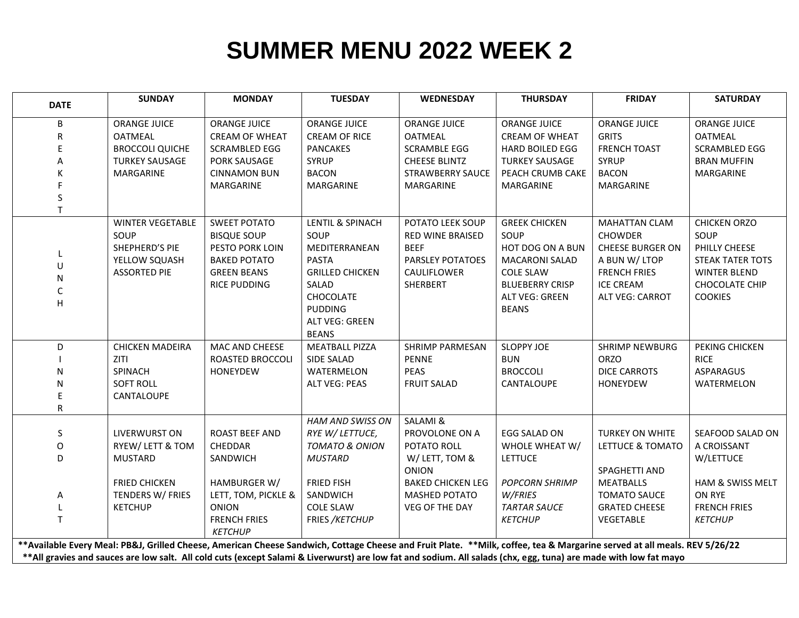## **SUMMER MENU 2022 WEEK 2**

| <b>DATE</b>                                                                                                                                                              | <b>SUNDAY</b>           | <b>MONDAY</b>         | <b>TUESDAY</b>            | <b>WEDNESDAY</b>         | <b>THURSDAY</b>        | <b>FRIDAY</b>           | <b>SATURDAY</b>         |  |  |  |
|--------------------------------------------------------------------------------------------------------------------------------------------------------------------------|-------------------------|-----------------------|---------------------------|--------------------------|------------------------|-------------------------|-------------------------|--|--|--|
| B                                                                                                                                                                        | <b>ORANGE JUICE</b>     | <b>ORANGE JUICE</b>   | <b>ORANGE JUICE</b>       | <b>ORANGE JUICE</b>      | <b>ORANGE JUICE</b>    | <b>ORANGE JUICE</b>     | <b>ORANGE JUICE</b>     |  |  |  |
| R                                                                                                                                                                        | <b>OATMEAL</b>          | <b>CREAM OF WHEAT</b> | <b>CREAM OF RICE</b>      | <b>OATMEAL</b>           | <b>CREAM OF WHEAT</b>  | <b>GRITS</b>            | <b>OATMEAL</b>          |  |  |  |
|                                                                                                                                                                          | <b>BROCCOLI QUICHE</b>  | <b>SCRAMBLED EGG</b>  | <b>PANCAKES</b>           | <b>SCRAMBLE EGG</b>      | <b>HARD BOILED EGG</b> | <b>FRENCH TOAST</b>     | <b>SCRAMBLED EGG</b>    |  |  |  |
| А                                                                                                                                                                        | <b>TURKEY SAUSAGE</b>   | PORK SAUSAGE          | <b>SYRUP</b>              | <b>CHEESE BLINTZ</b>     | <b>TURKEY SAUSAGE</b>  | <b>SYRUP</b>            | <b>BRAN MUFFIN</b>      |  |  |  |
|                                                                                                                                                                          | MARGARINE               | <b>CINNAMON BUN</b>   | <b>BACON</b>              | <b>STRAWBERRY SAUCE</b>  | PEACH CRUMB CAKE       | <b>BACON</b>            | MARGARINE               |  |  |  |
|                                                                                                                                                                          |                         | MARGARINE             | <b>MARGARINE</b>          | <b>MARGARINE</b>         | MARGARINE              | <b>MARGARINE</b>        |                         |  |  |  |
| S                                                                                                                                                                        |                         |                       |                           |                          |                        |                         |                         |  |  |  |
| T                                                                                                                                                                        |                         |                       |                           |                          |                        |                         |                         |  |  |  |
|                                                                                                                                                                          | <b>WINTER VEGETABLE</b> | <b>SWEET POTATO</b>   | LENTIL & SPINACH          | POTATO LEEK SOUP         | <b>GREEK CHICKEN</b>   | <b>MAHATTAN CLAM</b>    | <b>CHICKEN ORZO</b>     |  |  |  |
|                                                                                                                                                                          | SOUP                    | <b>BISQUE SOUP</b>    | SOUP                      | <b>RED WINE BRAISED</b>  | SOUP                   | <b>CHOWDER</b>          | SOUP                    |  |  |  |
|                                                                                                                                                                          | SHEPHERD'S PIE          | PESTO PORK LOIN       | MEDITERRANEAN             | <b>BEEF</b>              | HOT DOG ON A BUN       | <b>CHEESE BURGER ON</b> | PHILLY CHEESE           |  |  |  |
| U                                                                                                                                                                        | YELLOW SQUASH           | <b>BAKED POTATO</b>   | <b>PASTA</b>              | <b>PARSLEY POTATOES</b>  | <b>MACARONI SALAD</b>  | A BUN W/ LTOP           | <b>STEAK TATER TOTS</b> |  |  |  |
| N                                                                                                                                                                        | <b>ASSORTED PIE</b>     | <b>GREEN BEANS</b>    | <b>GRILLED CHICKEN</b>    | CAULIFLOWER              | <b>COLE SLAW</b>       | <b>FRENCH FRIES</b>     | <b>WINTER BLEND</b>     |  |  |  |
| C                                                                                                                                                                        |                         | <b>RICE PUDDING</b>   | SALAD                     | SHERBERT                 | <b>BLUEBERRY CRISP</b> | <b>ICE CREAM</b>        | CHOCOLATE CHIP          |  |  |  |
| H                                                                                                                                                                        |                         |                       | CHOCOLATE                 |                          | <b>ALT VEG: GREEN</b>  | <b>ALT VEG: CARROT</b>  | <b>COOKIES</b>          |  |  |  |
|                                                                                                                                                                          |                         |                       | <b>PUDDING</b>            |                          | <b>BEANS</b>           |                         |                         |  |  |  |
|                                                                                                                                                                          |                         |                       | ALT VEG: GREEN            |                          |                        |                         |                         |  |  |  |
|                                                                                                                                                                          |                         |                       | <b>BEANS</b>              |                          |                        |                         |                         |  |  |  |
| D                                                                                                                                                                        | <b>CHICKEN MADEIRA</b>  | MAC AND CHEESE        | <b>MEATBALL PIZZA</b>     | <b>SHRIMP PARMESAN</b>   | <b>SLOPPY JOE</b>      | <b>SHRIMP NEWBURG</b>   | PEKING CHICKEN          |  |  |  |
|                                                                                                                                                                          | ZITI                    | ROASTED BROCCOLI      | <b>SIDE SALAD</b>         | <b>PENNE</b>             | <b>BUN</b>             | <b>ORZO</b>             | <b>RICE</b>             |  |  |  |
| N                                                                                                                                                                        | <b>SPINACH</b>          | <b>HONEYDEW</b>       | WATERMELON                | <b>PEAS</b>              | <b>BROCCOLI</b>        | <b>DICE CARROTS</b>     | <b>ASPARAGUS</b>        |  |  |  |
| N                                                                                                                                                                        | <b>SOFT ROLL</b>        |                       | <b>ALT VEG: PEAS</b>      | <b>FRUIT SALAD</b>       | CANTALOUPE             | HONEYDEW                | WATERMELON              |  |  |  |
| Ε                                                                                                                                                                        | CANTALOUPE              |                       |                           |                          |                        |                         |                         |  |  |  |
| $\mathsf R$                                                                                                                                                              |                         |                       |                           |                          |                        |                         |                         |  |  |  |
|                                                                                                                                                                          |                         |                       | <b>HAM AND SWISS ON</b>   | SALAMI &                 |                        |                         |                         |  |  |  |
| S                                                                                                                                                                        | <b>LIVERWURST ON</b>    | <b>ROAST BEEF AND</b> | RYE W/ LETTUCE,           | PROVOLONE ON A           | EGG SALAD ON           | TURKEY ON WHITE         | SEAFOOD SALAD ON        |  |  |  |
| O                                                                                                                                                                        | RYEW/ LETT & TOM        | CHEDDAR               | <b>TOMATO &amp; ONION</b> | POTATO ROLL              | WHOLE WHEAT W/         | LETTUCE & TOMATO        | A CROISSANT             |  |  |  |
| D                                                                                                                                                                        | <b>MUSTARD</b>          | SANDWICH              | <b>MUSTARD</b>            | W/ LETT, TOM &           | <b>LETTUCE</b>         |                         | W/LETTUCE               |  |  |  |
|                                                                                                                                                                          |                         |                       |                           | <b>ONION</b>             |                        | SPAGHETTI AND           |                         |  |  |  |
|                                                                                                                                                                          | <b>FRIED CHICKEN</b>    | HAMBURGER W/          | FRIED FISH                | <b>BAKED CHICKEN LEG</b> | <b>POPCORN SHRIMP</b>  | <b>MEATBALLS</b>        | HAM & SWISS MELT        |  |  |  |
| Α                                                                                                                                                                        | TENDERS W/ FRIES        | LETT, TOM, PICKLE &   | SANDWICH                  | MASHED POTATO            | W/FRIES                | <b>TOMATO SAUCE</b>     | ON RYE                  |  |  |  |
|                                                                                                                                                                          | <b>KETCHUP</b>          | <b>ONION</b>          | <b>COLE SLAW</b>          | VEG OF THE DAY           | <b>TARTAR SAUCE</b>    | <b>GRATED CHEESE</b>    | <b>FRENCH FRIES</b>     |  |  |  |
| T.                                                                                                                                                                       |                         | <b>FRENCH FRIES</b>   | FRIES / KETCHUP           |                          | <b>KETCHUP</b>         | <b>VEGETABLE</b>        | <b>KETCHUP</b>          |  |  |  |
|                                                                                                                                                                          |                         | <b>KETCHUP</b>        |                           |                          |                        |                         |                         |  |  |  |
| **Available Every Meal: PB&J, Grilled Cheese, American Cheese Sandwich, Cottage Cheese and Fruit Plate. **Milk, coffee, tea & Margarine served at all meals. REV 5/26/22 |                         |                       |                           |                          |                        |                         |                         |  |  |  |
| **All gravies and sauces are low salt. All cold cuts (except Salami & Liverwurst) are low fat and sodium. All salads (chx, egg, tuna) are made with low fat mayo         |                         |                       |                           |                          |                        |                         |                         |  |  |  |